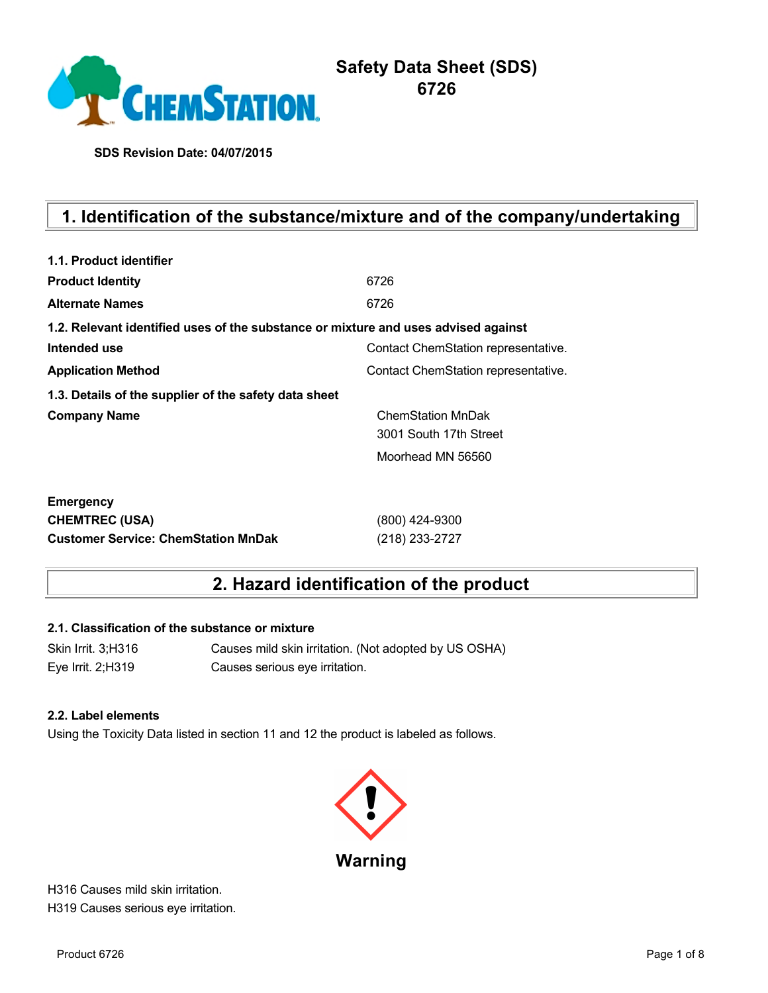

**SDS Revision Date: 04/07/2015**

# **1. Identification of the substance/mixture and of the company/undertaking**

| 1.1. Product identifier                                                            |                                     |
|------------------------------------------------------------------------------------|-------------------------------------|
| <b>Product Identity</b>                                                            | 6726                                |
| <b>Alternate Names</b>                                                             | 6726                                |
| 1.2. Relevant identified uses of the substance or mixture and uses advised against |                                     |
| Intended use                                                                       | Contact ChemStation representative. |
| <b>Application Method</b>                                                          | Contact ChemStation representative. |
| 1.3. Details of the supplier of the safety data sheet                              |                                     |
| <b>Company Name</b>                                                                | <b>ChemStation MnDak</b>            |
|                                                                                    | 3001 South 17th Street              |
|                                                                                    | Moorhead MN 56560                   |
| <b>Emergency</b>                                                                   |                                     |
| <b>CHEMTREC (USA)</b>                                                              | (800) 424-9300                      |
| <b>Customer Service: ChemStation MnDak</b>                                         | (218) 233-2727                      |

## **2. Hazard identification of the product**

#### **2.1. Classification of the substance or mixture**

Skin Irrit. 3;H316 Causes mild skin irritation. (Not adopted by US OSHA) Eye Irrit. 2;H319 Causes serious eye irritation.

#### **2.2. Label elements**

Using the Toxicity Data listed in section 11 and 12 the product is labeled as follows.



H316 Causes mild skin irritation. H319 Causes serious eye irritation.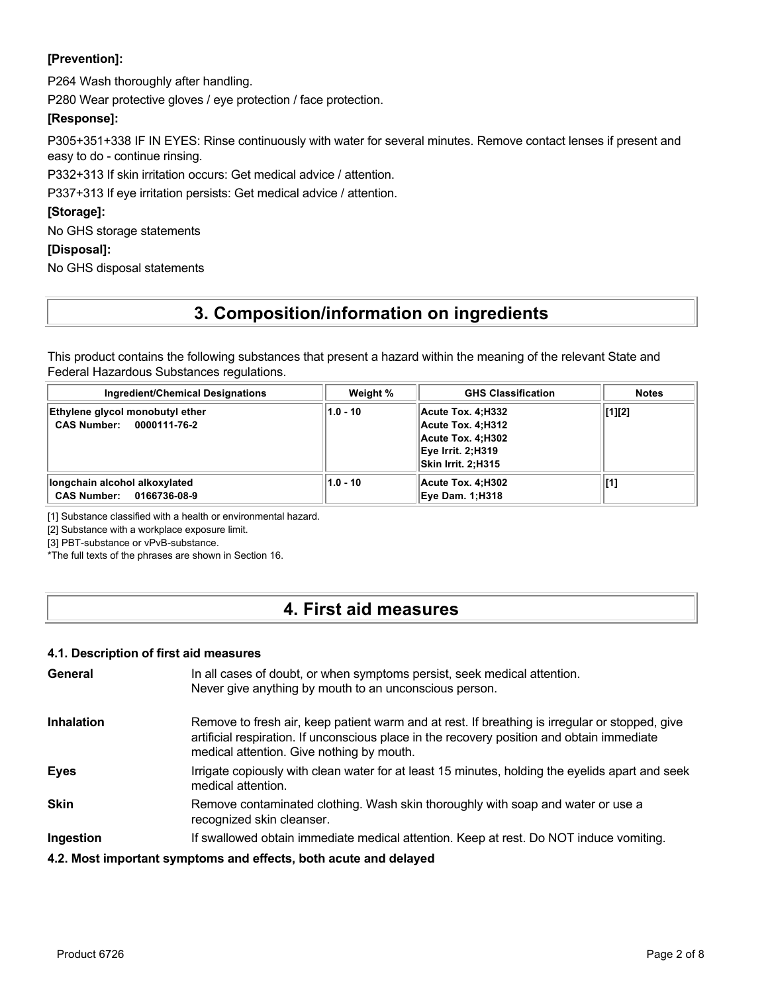### **[Prevention]:**

P264 Wash thoroughly after handling.

P280 Wear protective gloves / eye protection / face protection.

#### **[Response]:**

P305+351+338 IF IN EYES: Rinse continuously with water for several minutes. Remove contact lenses if present and easy to do - continue rinsing.

P332+313 If skin irritation occurs: Get medical advice / attention.

P337+313 If eye irritation persists: Get medical advice / attention.

#### **[Storage]:**

No GHS storage statements

#### **[Disposal]:**

No GHS disposal statements

## **3. Composition/information on ingredients**

This product contains the following substances that present a hazard within the meaning of the relevant State and Federal Hazardous Substances regulations.

| <b>Ingredient/Chemical Designations</b>                     | Weight %   | <b>GHS Classification</b>                                                                                            | <b>Notes</b> |
|-------------------------------------------------------------|------------|----------------------------------------------------------------------------------------------------------------------|--------------|
| Ethylene glycol monobutyl ether<br>CAS Number: 0000111-76-2 | $1.0 - 10$ | Acute Tox. 4:H332<br>Acute Tox. 4:H312<br>Acute Tox. 4:H302<br><b>Eye Irrit. 2;H319</b><br><b>Skin Irrit. 2:H315</b> | [1][2]       |
| longchain alcohol alkoxylated<br>CAS Number: 0166736-08-9   | $1.0 - 10$ | Acute Tox. 4:H302<br><b>Eye Dam. 1:H318</b>                                                                          | [1]          |

[1] Substance classified with a health or environmental hazard.

[2] Substance with a workplace exposure limit.

[3] PBT-substance or vPvB-substance.

\*The full texts of the phrases are shown in Section 16.

### **4. First aid measures**

#### **4.1. Description of first aid measures**

| General           | In all cases of doubt, or when symptoms persist, seek medical attention.<br>Never give anything by mouth to an unconscious person.                                                                                                        |
|-------------------|-------------------------------------------------------------------------------------------------------------------------------------------------------------------------------------------------------------------------------------------|
| <b>Inhalation</b> | Remove to fresh air, keep patient warm and at rest. If breathing is irregular or stopped, give<br>artificial respiration. If unconscious place in the recovery position and obtain immediate<br>medical attention. Give nothing by mouth. |
| <b>Eyes</b>       | Irrigate copiously with clean water for at least 15 minutes, holding the eyelids apart and seek<br>medical attention.                                                                                                                     |
| <b>Skin</b>       | Remove contaminated clothing. Wash skin thoroughly with soap and water or use a<br>recognized skin cleanser.                                                                                                                              |
| Ingestion         | If swallowed obtain immediate medical attention. Keep at rest. Do NOT induce vomiting.                                                                                                                                                    |
|                   | 4.2. Most important symptoms and effects, both acute and delayed                                                                                                                                                                          |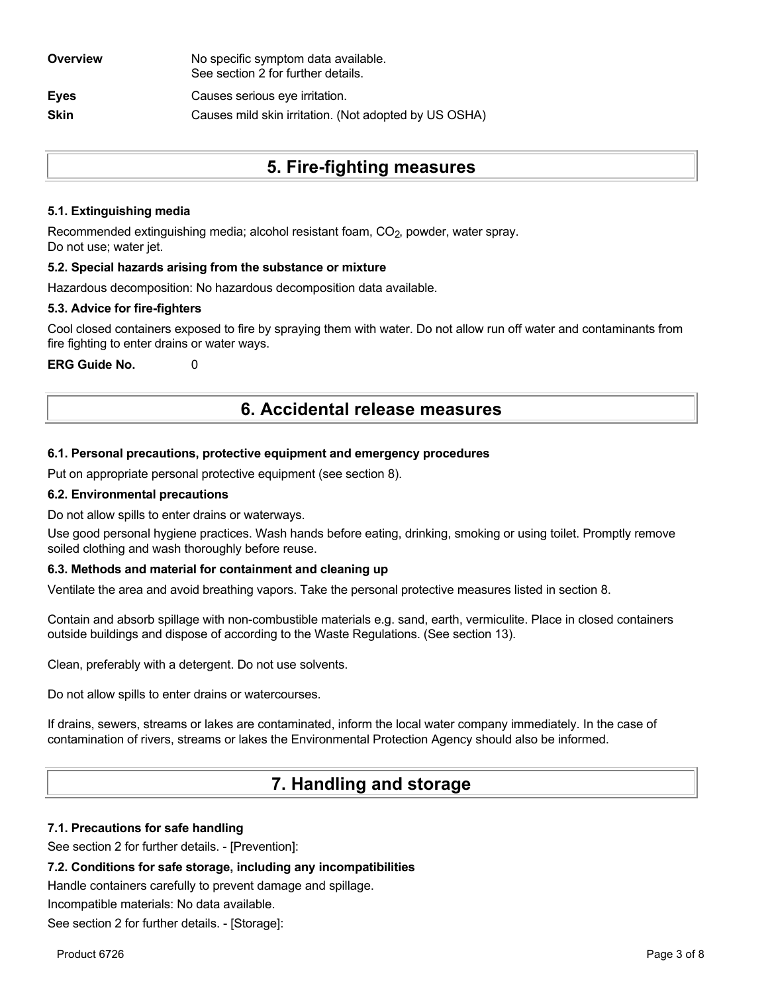| Overview    | No specific symptom data available.<br>See section 2 for further details. |
|-------------|---------------------------------------------------------------------------|
| <b>Eyes</b> | Causes serious eye irritation.                                            |
| <b>Skin</b> | Causes mild skin irritation. (Not adopted by US OSHA)                     |
|             |                                                                           |

## **5. Fire-fighting measures**

#### **5.1. Extinguishing media**

Recommended extinguishing media; alcohol resistant foam, CO<sub>2</sub>, powder, water spray. Do not use; water jet.

#### **5.2. Special hazards arising from the substance or mixture**

Hazardous decomposition: No hazardous decomposition data available.

#### **5.3. Advice for fire-fighters**

Cool closed containers exposed to fire by spraying them with water. Do not allow run off water and contaminants from fire fighting to enter drains or water ways.

**ERG Guide No.** 0

### **6. Accidental release measures**

#### **6.1. Personal precautions, protective equipment and emergency procedures**

Put on appropriate personal protective equipment (see section 8).

#### **6.2. Environmental precautions**

Do not allow spills to enter drains or waterways.

Use good personal hygiene practices. Wash hands before eating, drinking, smoking or using toilet. Promptly remove soiled clothing and wash thoroughly before reuse.

#### **6.3. Methods and material for containment and cleaning up**

Ventilate the area and avoid breathing vapors. Take the personal protective measures listed in section 8.

Contain and absorb spillage with non-combustible materials e.g. sand, earth, vermiculite. Place in closed containers outside buildings and dispose of according to the Waste Regulations. (See section 13).

Clean, preferably with a detergent. Do not use solvents.

Do not allow spills to enter drains or watercourses.

If drains, sewers, streams or lakes are contaminated, inform the local water company immediately. In the case of contamination of rivers, streams or lakes the Environmental Protection Agency should also be informed.

## **7. Handling and storage**

#### **7.1. Precautions for safe handling**

See section 2 for further details. - [Prevention]:

#### **7.2. Conditions for safe storage, including any incompatibilities**

Handle containers carefully to prevent damage and spillage.

Incompatible materials: No data available.

See section 2 for further details. - [Storage]: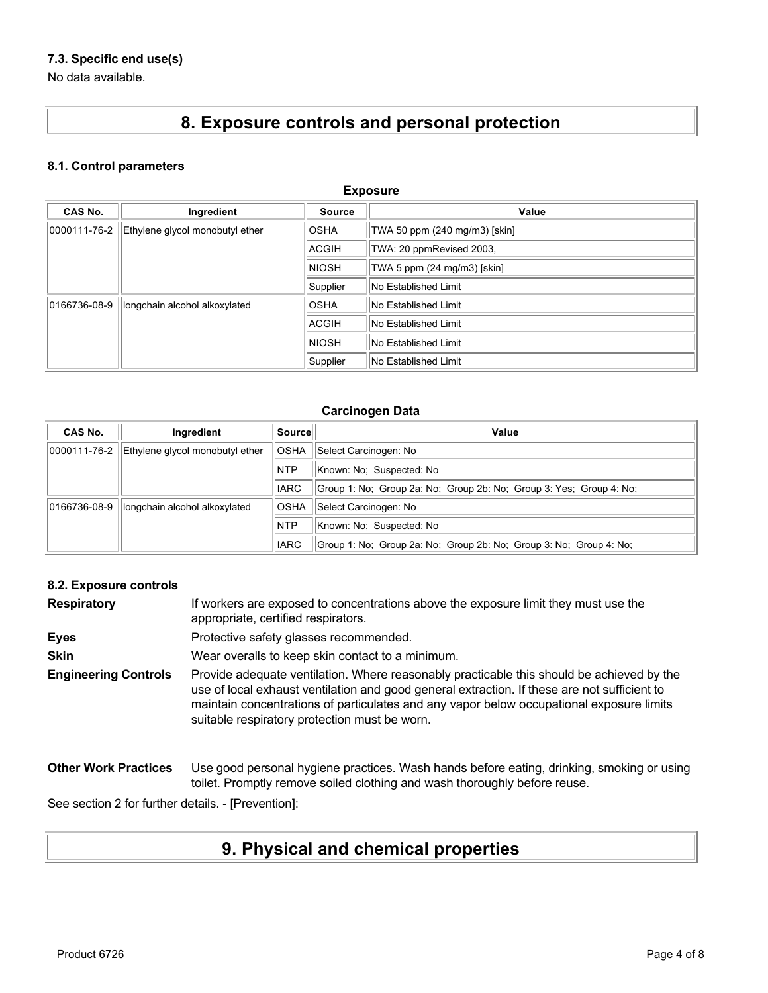### **7.3. Specific end use(s)**

No data available.

# **8. Exposure controls and personal protection**

#### **8.1. Control parameters**

| <b>Exposure</b> |                                 |              |                               |
|-----------------|---------------------------------|--------------|-------------------------------|
| <b>CAS No.</b>  | Ingredient                      | Source       | Value                         |
| 0000111-76-2    | Ethylene glycol monobutyl ether | <b>OSHA</b>  | TWA 50 ppm (240 mg/m3) [skin] |
|                 |                                 | ACGIH        | TWA: 20 ppmRevised 2003,      |
|                 |                                 | <b>NIOSH</b> | TWA 5 ppm (24 mg/m3) [skin]   |
|                 |                                 | Supplier     | No Established Limit          |
| 0166736-08-9    | longchain alcohol alkoxylated   | <b>OSHA</b>  | No Established Limit          |
|                 |                                 | <b>ACGIH</b> | No Established Limit          |
|                 |                                 | <b>NIOSH</b> | No Established Limit          |
|                 |                                 | Supplier     | No Established Limit          |

#### **Carcinogen Data**

| CAS No.      | Ingredient                      | Source      | Value                                                               |
|--------------|---------------------------------|-------------|---------------------------------------------------------------------|
| 0000111-76-2 | Ethylene glycol monobutyl ether | <b>OSHA</b> | Select Carcinogen: No                                               |
|              |                                 | <b>NTP</b>  | Known: No: Suspected: No                                            |
|              |                                 | <b>IARC</b> | Group 1: No: Group 2a: No: Group 2b: No: Group 3: Yes: Group 4: No: |
| 0166736-08-9 | longchain alcohol alkoxylated   | <b>OSHA</b> | Select Carcinogen: No                                               |
|              |                                 | <b>NTP</b>  | Known: No: Suspected: No                                            |
|              |                                 | <b>IARC</b> | Group 1: No: Group 2a: No: Group 2b: No: Group 3: No: Group 4: No:  |

#### **8.2. Exposure controls**

| <b>Respiratory</b>          | If workers are exposed to concentrations above the exposure limit they must use the<br>appropriate, certified respirators.                                                                                                                                                                                                             |
|-----------------------------|----------------------------------------------------------------------------------------------------------------------------------------------------------------------------------------------------------------------------------------------------------------------------------------------------------------------------------------|
| <b>Eyes</b>                 | Protective safety glasses recommended.                                                                                                                                                                                                                                                                                                 |
| <b>Skin</b>                 | Wear overalls to keep skin contact to a minimum.                                                                                                                                                                                                                                                                                       |
| <b>Engineering Controls</b> | Provide adequate ventilation. Where reasonably practicable this should be achieved by the<br>use of local exhaust ventilation and good general extraction. If these are not sufficient to<br>maintain concentrations of particulates and any vapor below occupational exposure limits<br>suitable respiratory protection must be worn. |
| <b>Other Work Practices</b> | Use good personal hygiene practices. Wash hands before eating, drinking, smoking or using<br>toilet. Promptly remove soiled clothing and wash thoroughly before reuse.                                                                                                                                                                 |

See section 2 for further details. - [Prevention]:

# **9. Physical and chemical properties**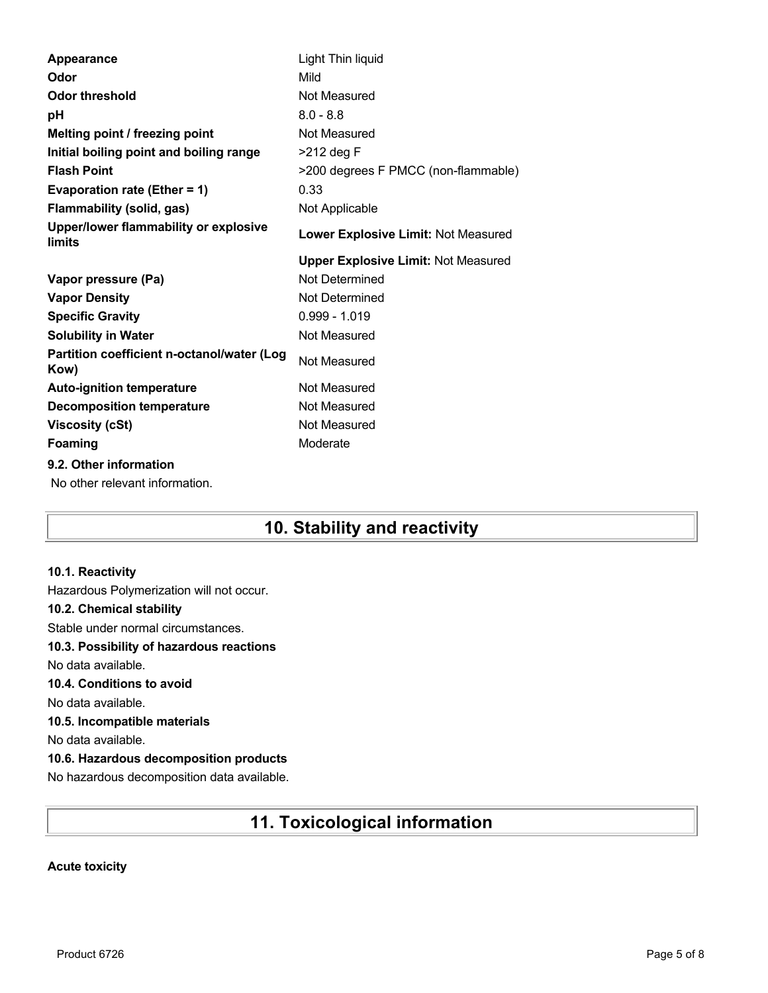| Light Thin liquid                          |
|--------------------------------------------|
| Mild                                       |
| Not Measured                               |
| $8.0 - 8.8$                                |
| Not Measured                               |
| $>212$ deg F                               |
| >200 degrees F PMCC (non-flammable)        |
| 0.33                                       |
| Not Applicable                             |
| Lower Explosive Limit: Not Measured        |
| <b>Upper Explosive Limit: Not Measured</b> |
| Not Determined                             |
| Not Determined                             |
| $0.999 - 1.019$                            |
| Not Measured                               |
| Not Measured                               |
| Not Measured                               |
| Not Measured                               |
| Not Measured                               |
|                                            |
| Moderate                                   |
|                                            |

## **10. Stability and reactivity**

#### **10.1. Reactivity**

Hazardous Polymerization will not occur. **10.2. Chemical stability** Stable under normal circumstances. **10.3. Possibility of hazardous reactions** No data available. **10.4. Conditions to avoid** No data available. **10.5. Incompatible materials** No data available. **10.6. Hazardous decomposition products** No hazardous decomposition data available.

## **11. Toxicological information**

#### **Acute toxicity**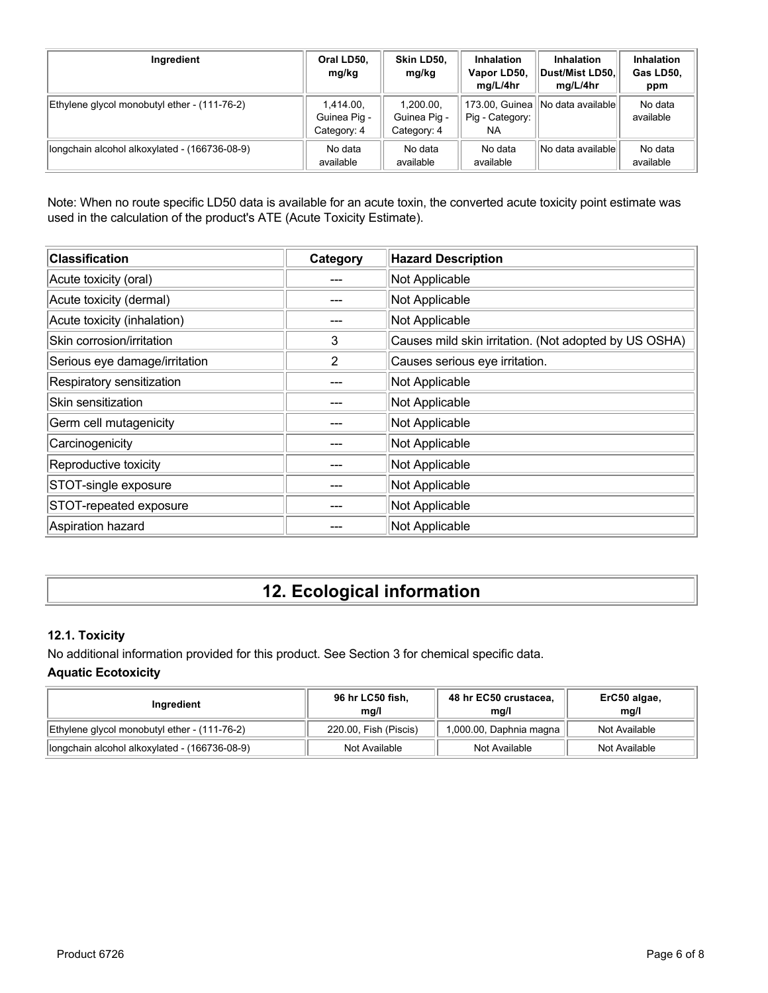| Ingredient                                    | Oral LD50,<br>mg/kg                      | Skin LD50,<br>mg/kg                      | <b>Inhalation</b><br>Vapor LD50,<br>mg/L/4hr | <b>Inhalation</b><br>Dust/Mist LD50.<br>mg/L/4hr | <b>Inhalation</b><br>Gas LD50,<br>ppm |
|-----------------------------------------------|------------------------------------------|------------------------------------------|----------------------------------------------|--------------------------------------------------|---------------------------------------|
| Ethylene glycol monobutyl ether - (111-76-2)  | 1,414.00,<br>Guinea Pig -<br>Category: 4 | 1,200.00,<br>Guinea Pig -<br>Category: 4 | Pig - Category:<br>NA                        | 173.00, Guinea    No data available              | No data<br>available                  |
| longchain alcohol alkoxylated - (166736-08-9) | No data<br>available                     | No data<br>available                     | No data<br>available                         | No data availablel                               | No data<br>available                  |

Note: When no route specific LD50 data is available for an acute toxin, the converted acute toxicity point estimate was used in the calculation of the product's ATE (Acute Toxicity Estimate).

| <b>Classification</b>         | Category | <b>Hazard Description</b>                             |
|-------------------------------|----------|-------------------------------------------------------|
| Acute toxicity (oral)         |          | Not Applicable                                        |
| Acute toxicity (dermal)       |          | Not Applicable                                        |
| Acute toxicity (inhalation)   |          | Not Applicable                                        |
| Skin corrosion/irritation     | 3        | Causes mild skin irritation. (Not adopted by US OSHA) |
| Serious eye damage/irritation | 2        | Causes serious eye irritation.                        |
| Respiratory sensitization     |          | Not Applicable                                        |
| Skin sensitization            |          | Not Applicable                                        |
| Germ cell mutagenicity        |          | Not Applicable                                        |
| Carcinogenicity               |          | Not Applicable                                        |
| Reproductive toxicity         |          | Not Applicable                                        |
| STOT-single exposure          |          | Not Applicable                                        |
| STOT-repeated exposure        |          | Not Applicable                                        |
| Aspiration hazard             |          | Not Applicable                                        |

# **12. Ecological information**

### **12.1. Toxicity**

No additional information provided for this product. See Section 3 for chemical specific data. **Aquatic Ecotoxicity**

| Ingredient                                    | 96 hr LC50 fish,<br>mq/l | 48 hr EC50 crustacea,<br>mq/l | ErC50 algae,<br>mq/l |
|-----------------------------------------------|--------------------------|-------------------------------|----------------------|
| Ethylene glycol monobutyl ether - (111-76-2)  | 220.00, Fish (Piscis)    | 1,000.00, Daphnia magna       | Not Available        |
| longchain alcohol alkoxylated - (166736-08-9) | Not Available            | Not Available                 | Not Available        |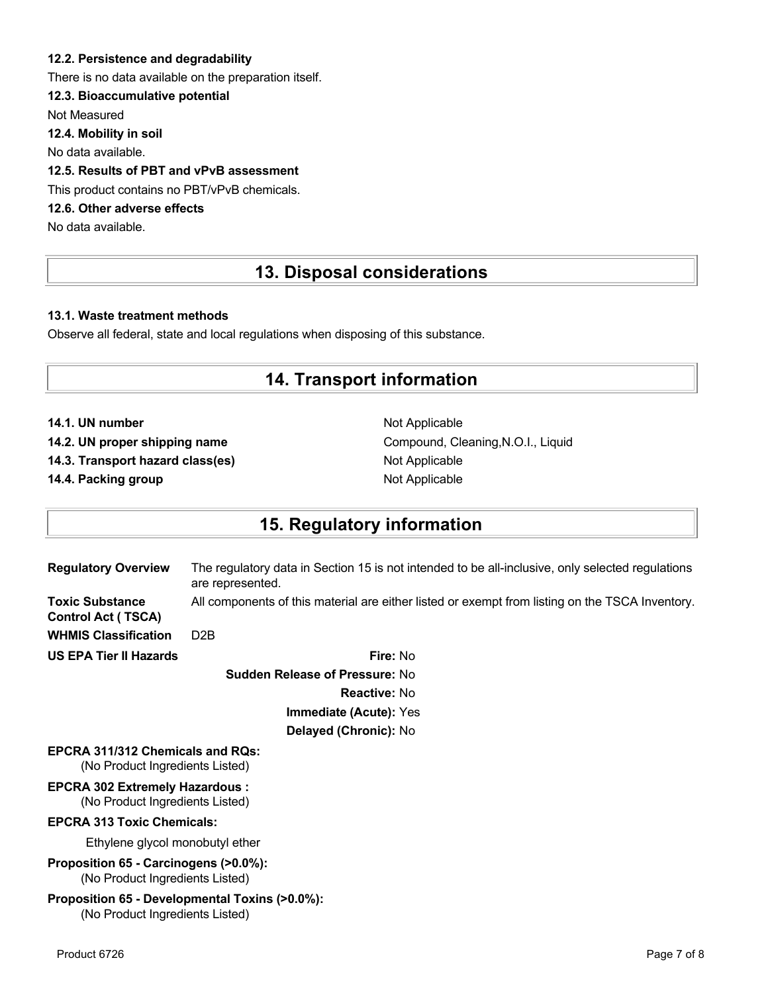#### **12.2. Persistence and degradability**

There is no data available on the preparation itself.

#### **12.3. Bioaccumulative potential**

Not Measured

**12.4. Mobility in soil**

No data available.

### **12.5. Results of PBT and vPvB assessment**

This product contains no PBT/vPvB chemicals.

### **12.6. Other adverse effects**

No data available.

# **13. Disposal considerations**

#### **13.1. Waste treatment methods**

Observe all federal, state and local regulations when disposing of this substance.

### **14. Transport information**

**14.1. UN number** Not Applicable

**14.3. Transport hazard class(es)** Not Applicable

**14.4. Packing group Not Applicable Not Applicable** 

14.2. UN proper shipping name **Compound, Cleaning, N.O.I., Liquid** Compound, Cleaning, N.O.I., Liquid

### **15. Regulatory information**

| <b>Regulatory Overview</b>                                                        | The regulatory data in Section 15 is not intended to be all-inclusive, only selected regulations<br>are represented. |
|-----------------------------------------------------------------------------------|----------------------------------------------------------------------------------------------------------------------|
| <b>Toxic Substance</b><br><b>Control Act (TSCA)</b>                               | All components of this material are either listed or exempt from listing on the TSCA Inventory.                      |
| <b>WHMIS Classification</b>                                                       | D <sub>2</sub> B                                                                                                     |
| <b>US EPA Tier II Hazards</b>                                                     | Fire: No                                                                                                             |
|                                                                                   | <b>Sudden Release of Pressure: No</b>                                                                                |
|                                                                                   | <b>Reactive: No</b>                                                                                                  |
|                                                                                   | Immediate (Acute): Yes                                                                                               |
|                                                                                   | Delayed (Chronic): No                                                                                                |
| <b>EPCRA 311/312 Chemicals and RQs:</b><br>(No Product Ingredients Listed)        |                                                                                                                      |
| <b>EPCRA 302 Extremely Hazardous:</b><br>(No Product Ingredients Listed)          |                                                                                                                      |
| <b>EPCRA 313 Toxic Chemicals:</b>                                                 |                                                                                                                      |
| Ethylene glycol monobutyl ether                                                   |                                                                                                                      |
| Proposition 65 - Carcinogens (>0.0%):<br>(No Product Ingredients Listed)          |                                                                                                                      |
| Proposition 65 - Developmental Toxins (>0.0%):<br>(No Product Ingredients Listed) |                                                                                                                      |